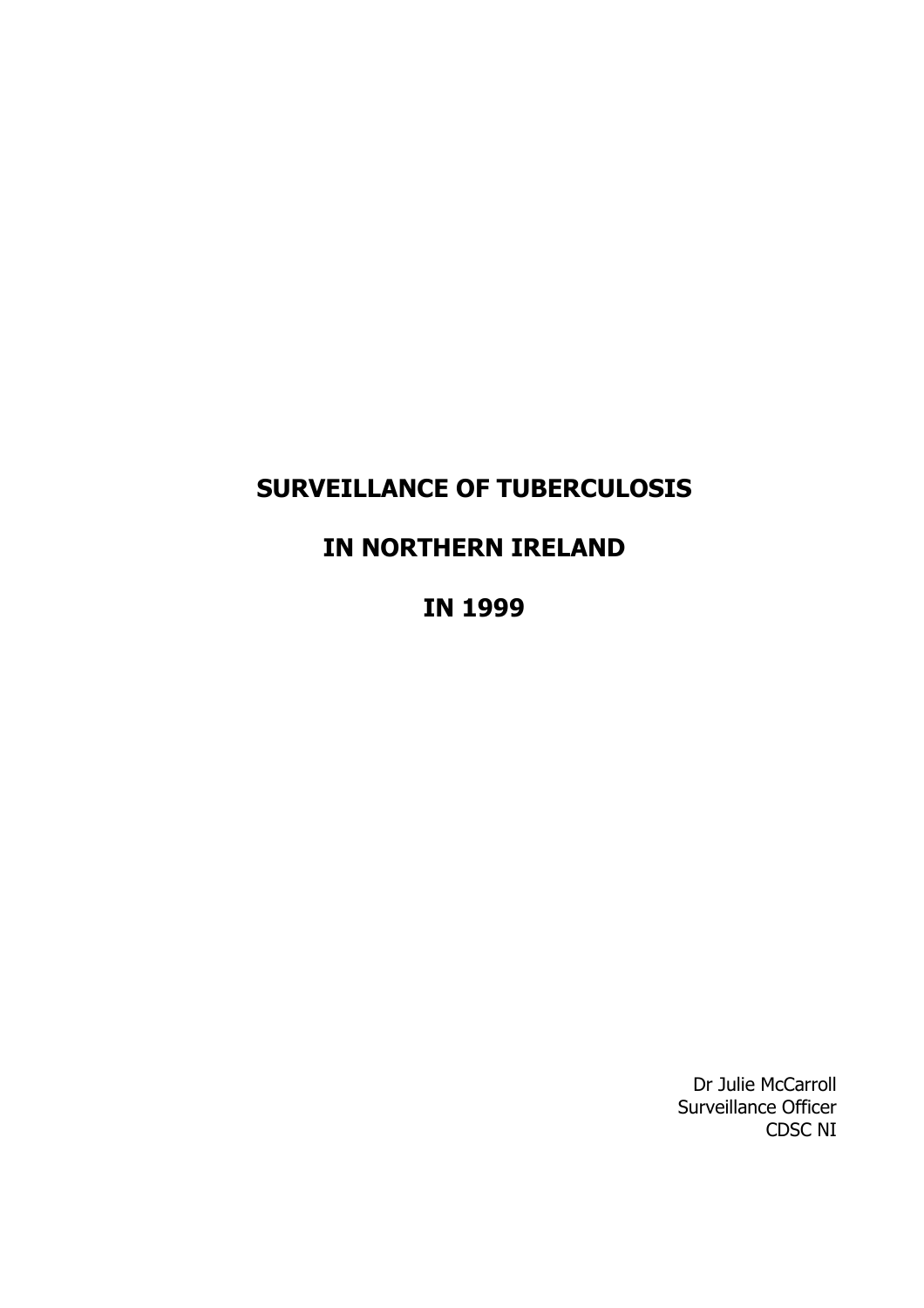## **SURVEILLANCE OF TUBERCULOSIS**

## **IN NORTHERN IRELAND**

**IN 1999**

Dr Julie McCarroll Surveillance Officer CDSC NI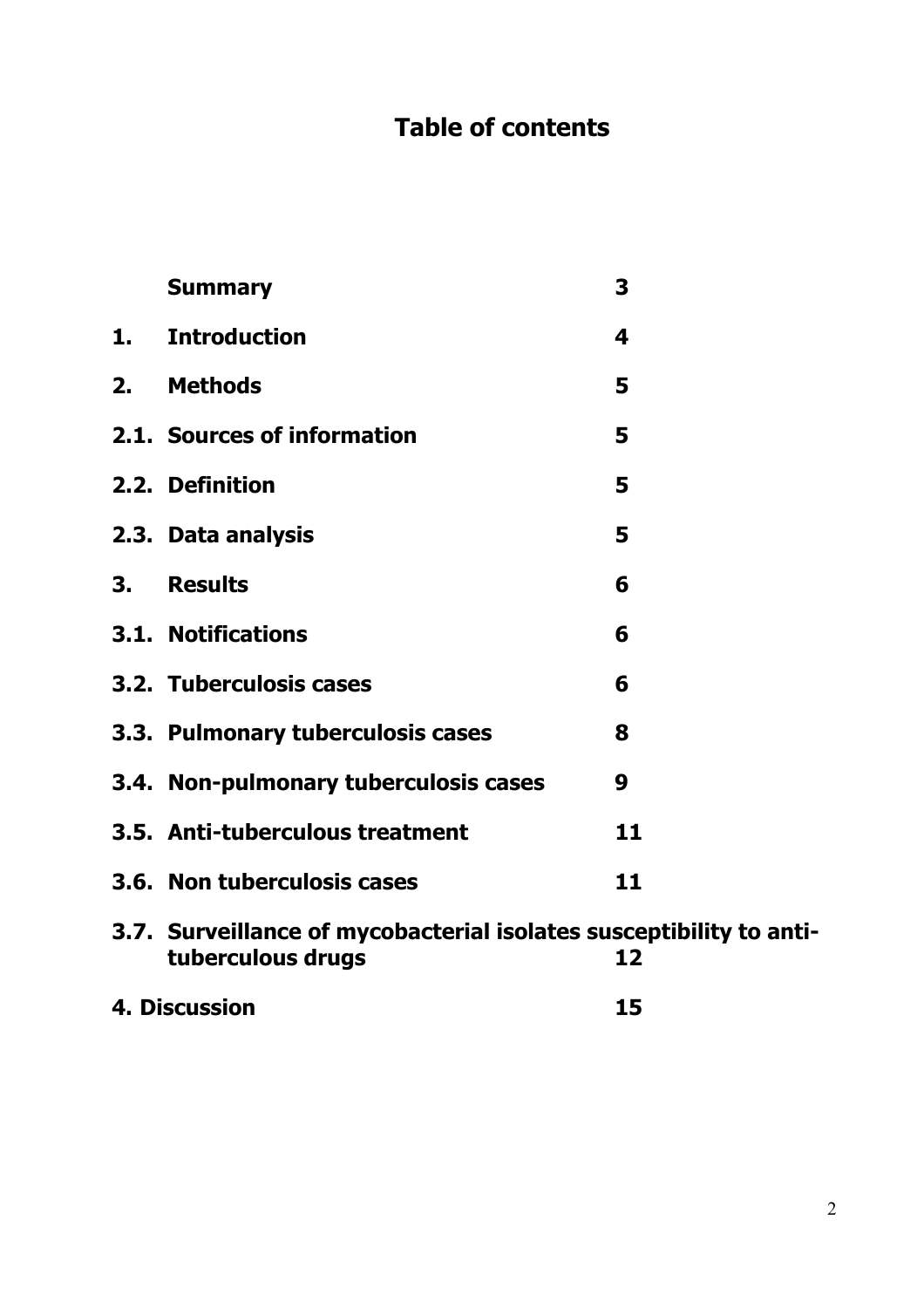# **Table of contents**

|    | <b>Summary</b>                                                                           | 3  |
|----|------------------------------------------------------------------------------------------|----|
| 1. | <b>Introduction</b>                                                                      | 4  |
|    | 2. Methods                                                                               | 5  |
|    | 2.1. Sources of information                                                              | 5  |
|    | 2.2. Definition                                                                          | 5  |
|    | 2.3. Data analysis                                                                       | 5  |
| 3. | <b>Results</b>                                                                           | 6  |
|    | <b>3.1. Notifications</b>                                                                | 6  |
|    | 3.2. Tuberculosis cases                                                                  | 6  |
|    | 3.3. Pulmonary tuberculosis cases                                                        | 8  |
|    | 3.4. Non-pulmonary tuberculosis cases                                                    | 9  |
|    | 3.5. Anti-tuberculous treatment                                                          | 11 |
|    | 3.6. Non tuberculosis cases                                                              | 11 |
|    | 3.7. Surveillance of mycobacterial isolates susceptibility to anti-<br>tuberculous drugs | 12 |
|    | 4. Discussion                                                                            | 15 |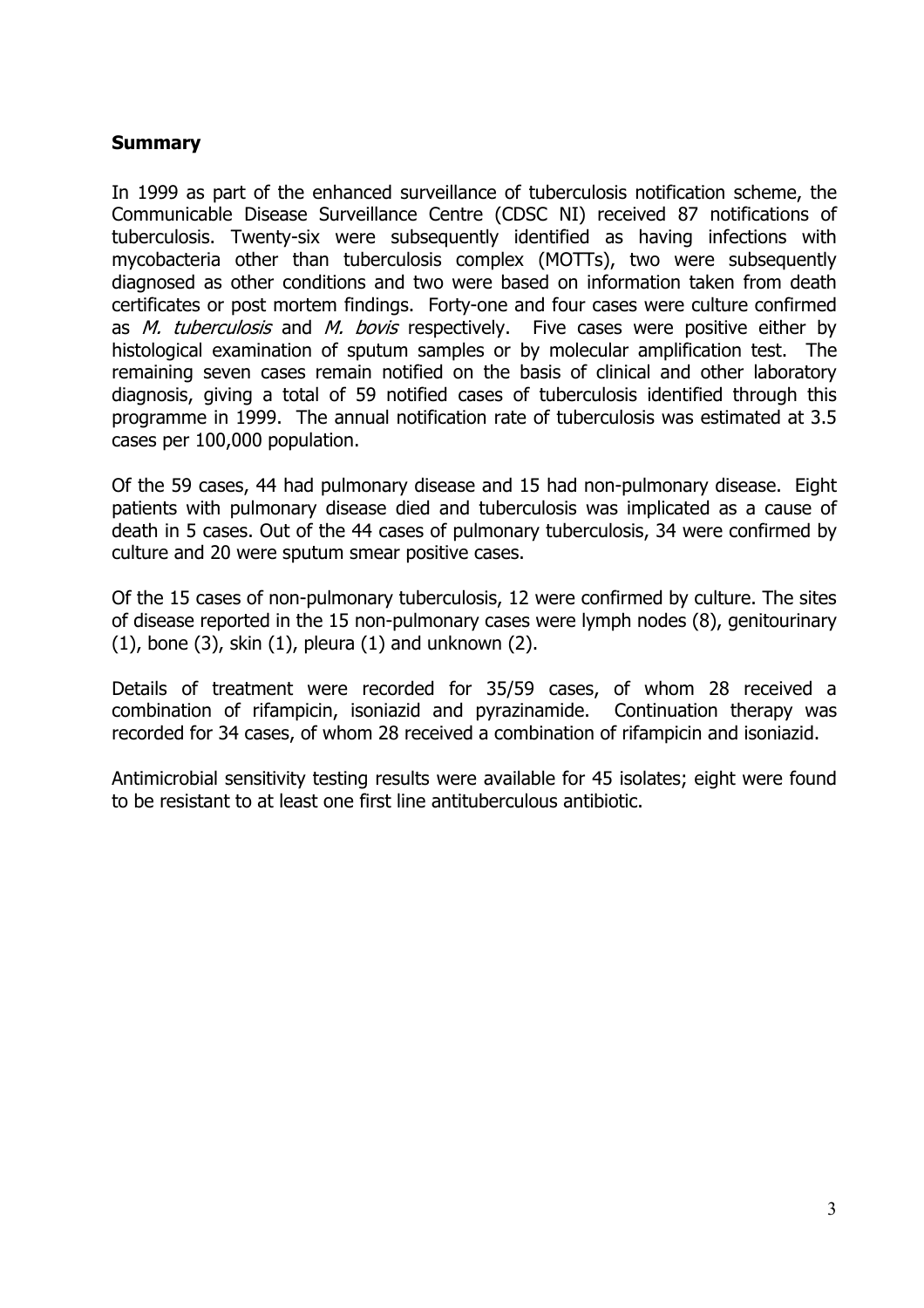#### <span id="page-2-0"></span>**Summary**

In 1999 as part of the enhanced surveillance of tuberculosis notification scheme, the Communicable Disease Surveillance Centre (CDSC NI) received 87 notifications of tuberculosis. Twenty-six were subsequently identified as having infections with mycobacteria other than tuberculosis complex (MOTTs), two were subsequently diagnosed as other conditions and two were based on information taken from death certificates or post mortem findings. Forty-one and four cases were culture confirmed as M. tuberculosis and M. bovis respectively. Five cases were positive either by histological examination of sputum samples or by molecular amplification test. The remaining seven cases remain notified on the basis of clinical and other laboratory diagnosis, giving a total of 59 notified cases of tuberculosis identified through this programme in 1999. The annual notification rate of tuberculosis was estimated at 3.5 cases per 100,000 population.

Of the 59 cases, 44 had pulmonary disease and 15 had non-pulmonary disease. Eight patients with pulmonary disease died and tuberculosis was implicated as a cause of death in 5 cases. Out of the 44 cases of pulmonary tuberculosis, 34 were confirmed by culture and 20 were sputum smear positive cases.

Of the 15 cases of non-pulmonary tuberculosis, 12 were confirmed by culture. The sites of disease reported in the 15 non-pulmonary cases were lymph nodes (8), genitourinary  $(1)$ , bone  $(3)$ , skin  $(1)$ , pleura  $(1)$  and unknown  $(2)$ .

Details of treatment were recorded for 35/59 cases, of whom 28 received a combination of rifampicin, isoniazid and pyrazinamide. Continuation therapy was recorded for 34 cases, of whom 28 received a combination of rifampicin and isoniazid.

Antimicrobial sensitivity testing results were available for 45 isolates; eight were found to be resistant to at least one first line antituberculous antibiotic.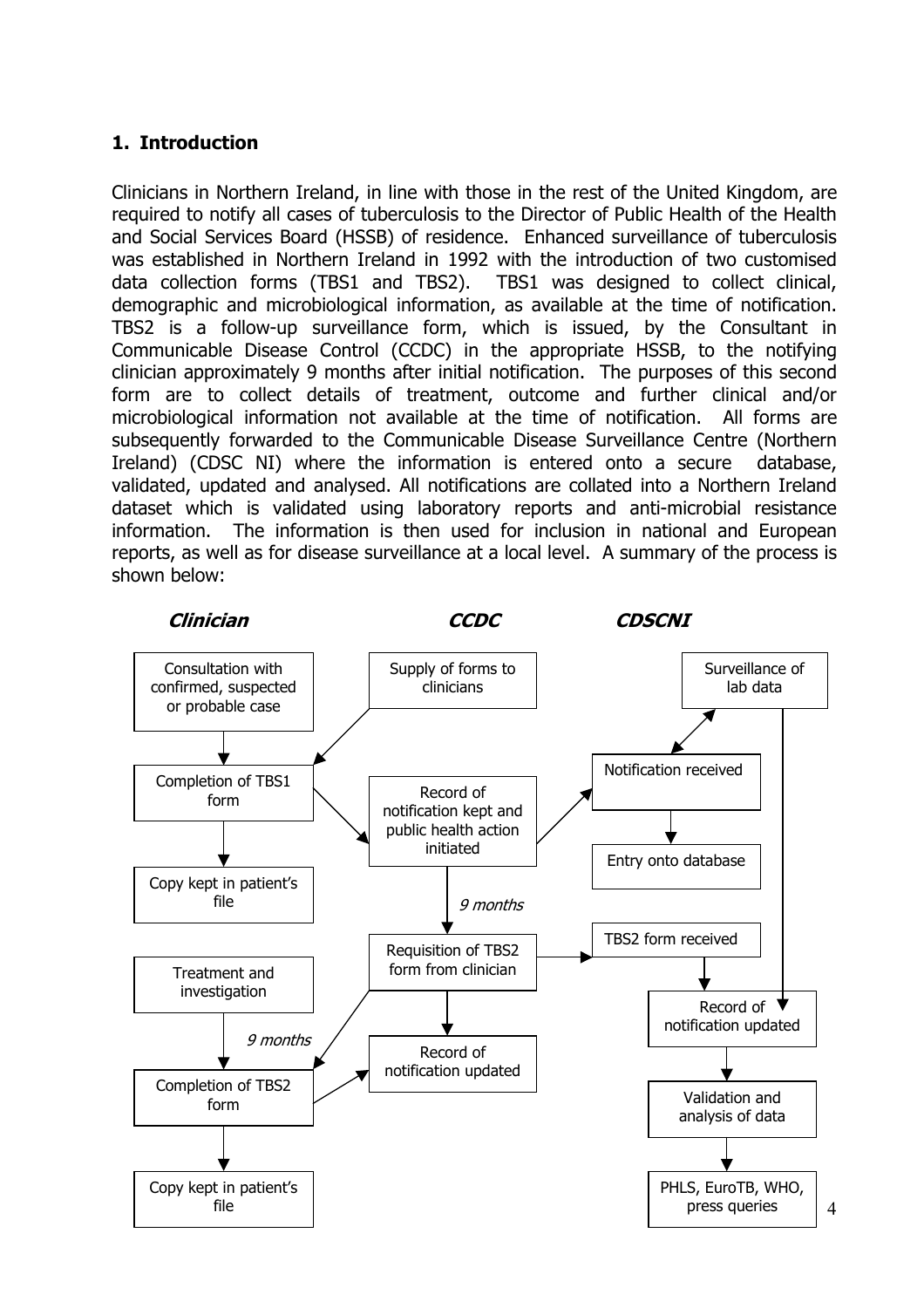### <span id="page-3-0"></span>**1. Introduction**

Clinicians in Northern Ireland, in line with those in the rest of the United Kingdom, are required to notify all cases of tuberculosis to the Director of Public Health of the Health and Social Services Board (HSSB) of residence. Enhanced surveillance of tuberculosis was established in Northern Ireland in 1992 with the introduction of two customised data collection forms (TBS1 and TBS2). TBS1 was designed to collect clinical, demographic and microbiological information, as available at the time of notification. TBS2 is a follow-up surveillance form, which is issued, by the Consultant in Communicable Disease Control (CCDC) in the appropriate HSSB, to the notifying clinician approximately 9 months after initial notification. The purposes of this second form are to collect details of treatment, outcome and further clinical and/or microbiological information not available at the time of notification. All forms are subsequently forwarded to the Communicable Disease Surveillance Centre (Northern Ireland) (CDSC NI) where the information is entered onto a secure database, validated, updated and analysed. All notifications are collated into a Northern Ireland dataset which is validated using laboratory reports and anti-microbial resistance information. The information is then used for inclusion in national and European reports, as well as for disease surveillance at a local level. A summary of the process is shown below:

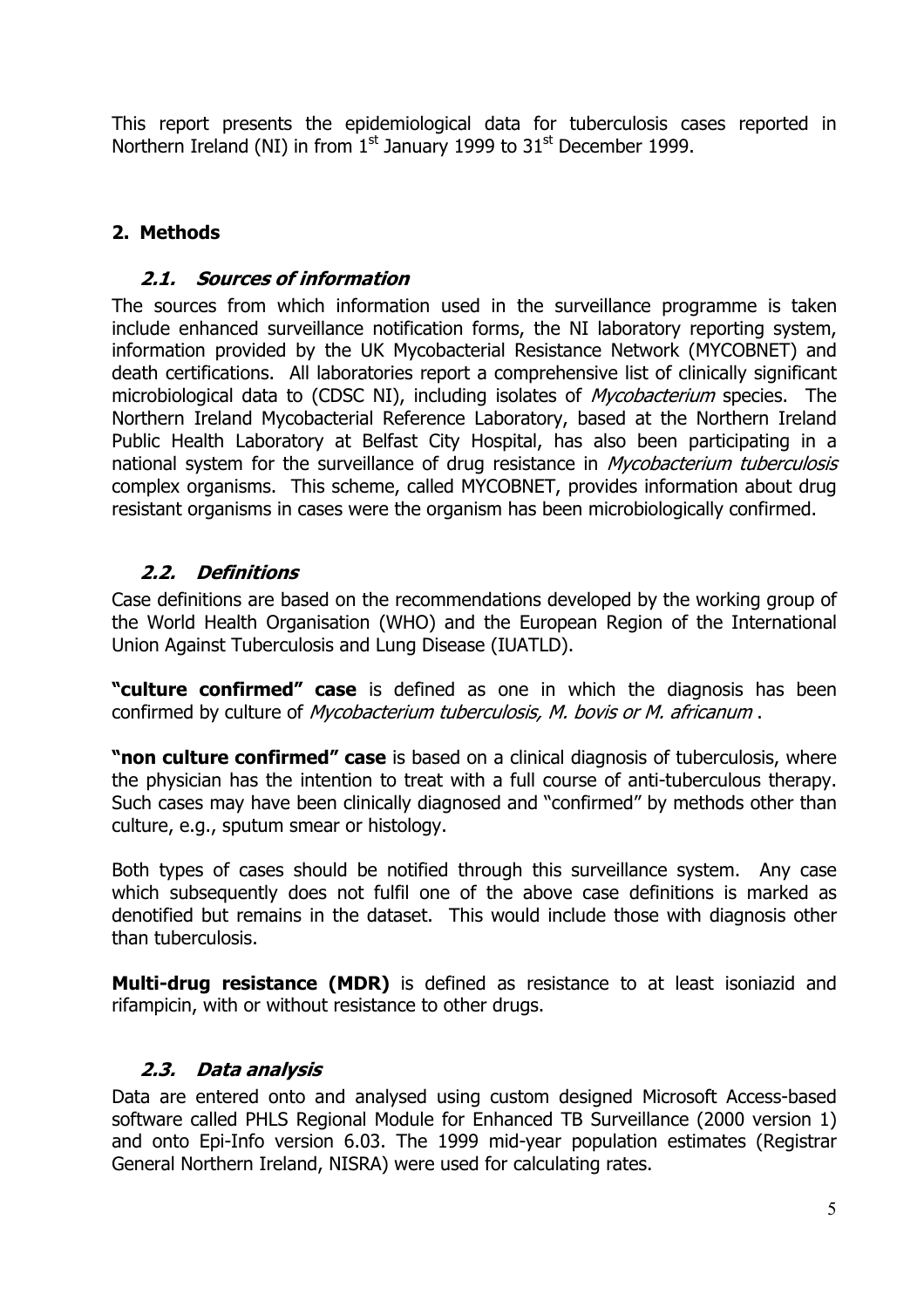<span id="page-4-0"></span>This report presents the epidemiological data for tuberculosis cases reported in Northern Ireland (NI) in from  $1<sup>st</sup>$  January 1999 to 31 $<sup>st</sup>$  December 1999.</sup>

## **2. Methods**

### **2.1. Sources of information**

The sources from which information used in the surveillance programme is taken include enhanced surveillance notification forms, the NI laboratory reporting system, information provided by the UK Mycobacterial Resistance Network (MYCOBNET) and death certifications. All laboratories report a comprehensive list of clinically significant microbiological data to (CDSC NI), including isolates of *Mycobacterium* species. The Northern Ireland Mycobacterial Reference Laboratory, based at the Northern Ireland Public Health Laboratory at Belfast City Hospital, has also been participating in a national system for the surveillance of drug resistance in *Mycobacterium tuberculosis* complex organisms. This scheme, called MYCOBNET, provides information about drug resistant organisms in cases were the organism has been microbiologically confirmed.

## **2.2. Definitions**

Case definitions are based on the recommendations developed by the working group of the World Health Organisation (WHO) and the European Region of the International Union Against Tuberculosis and Lung Disease (IUATLD).

**"culture confirmed" case** is defined as one in which the diagnosis has been confirmed by culture of Mycobacterium tuberculosis, M. bovis or M. africanum .

**"non culture confirmed" case** is based on a clinical diagnosis of tuberculosis, where the physician has the intention to treat with a full course of anti-tuberculous therapy. Such cases may have been clinically diagnosed and "confirmed" by methods other than culture, e.g., sputum smear or histology.

Both types of cases should be notified through this surveillance system. Any case which subsequently does not fulfil one of the above case definitions is marked as denotified but remains in the dataset. This would include those with diagnosis other than tuberculosis.

**Multi-drug resistance (MDR)** is defined as resistance to at least isoniazid and rifampicin, with or without resistance to other drugs.

## **2.3. Data analysis**

Data are entered onto and analysed using custom designed Microsoft Access-based software called PHLS Regional Module for Enhanced TB Surveillance (2000 version 1) and onto Epi-Info version 6.03. The 1999 mid-year population estimates (Registrar General Northern Ireland, NISRA) were used for calculating rates.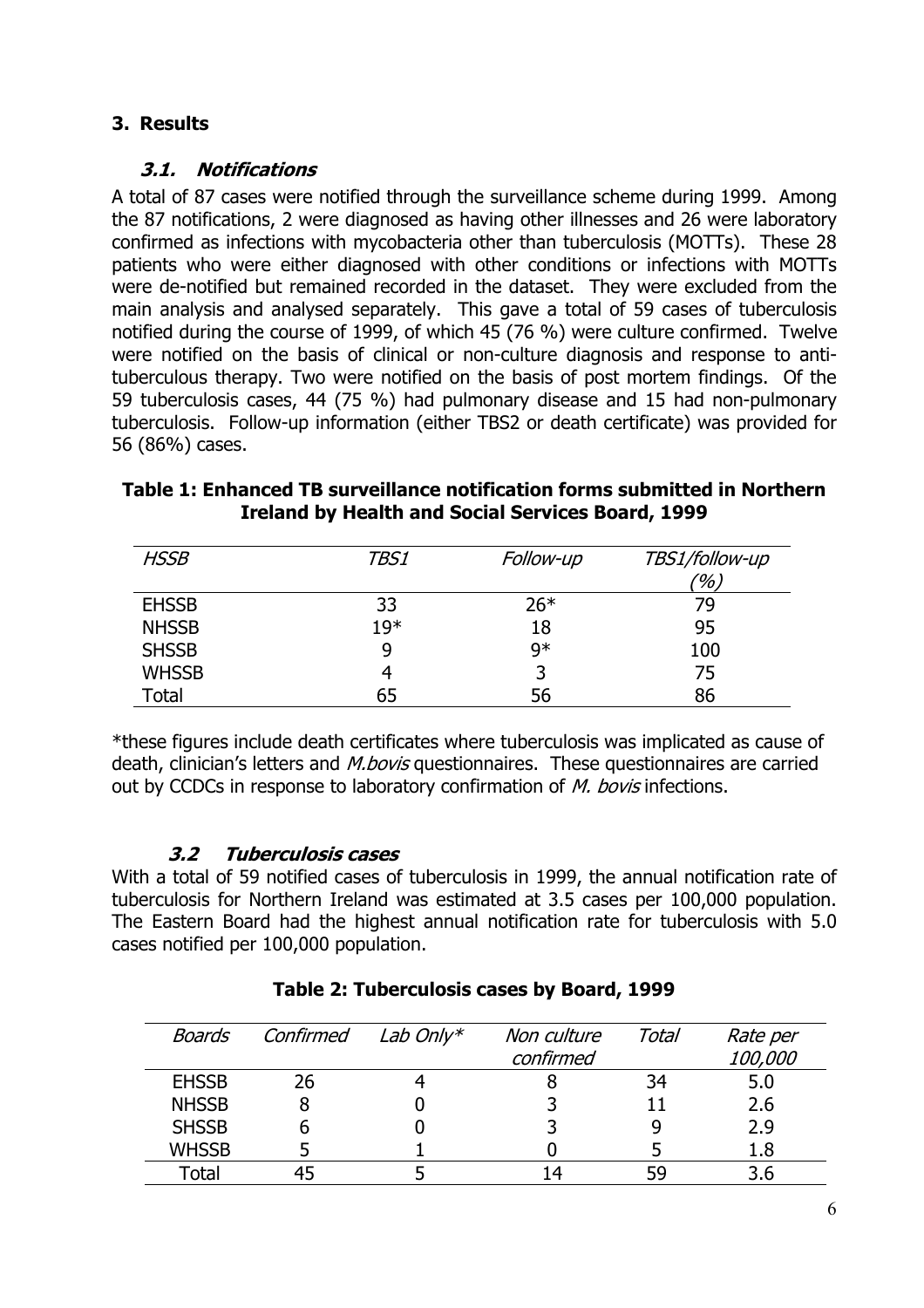## **3. Results**

#### **3.1. Notifications**

A total of 87 cases were notified through the surveillance scheme during 1999. Among the 87 notifications, 2 were diagnosed as having other illnesses and 26 were laboratory confirmed as infections with mycobacteria other than tuberculosis (MOTTs). These 28 patients who were either diagnosed with other conditions or infections with MOTTs were de-notified but remained recorded in the dataset. They were excluded from the main analysis and analysed separately. This gave a total of 59 cases of tuberculosis notified during the course of 1999, of which 45 (76 %) were culture confirmed. Twelve were notified on the basis of clinical or non-culture diagnosis and response to antituberculous therapy. Two were notified on the basis of post mortem findings. Of the 59 tuberculosis cases, 44 (75 %) had pulmonary disease and 15 had non-pulmonary tuberculosis. Follow-up information (either TBS2 or death certificate) was provided for 56 (86%) cases.

| Table 1: Enhanced TB surveillance notification forms submitted in Northern |
|----------------------------------------------------------------------------|
| Ireland by Health and Social Services Board, 1999                          |

| <b>HSSB</b>  | <i>TBS1</i> | Follow-up | TBS1/follow-up<br>(%) |
|--------------|-------------|-----------|-----------------------|
| <b>EHSSB</b> | 33          | $26*$     | 79                    |
| <b>NHSSB</b> | 19*         | 18        | 95                    |
| <b>SHSSB</b> | 9           | $9*$      | 100                   |
| <b>WHSSB</b> | 4           | 3         | 75                    |
| <b>Total</b> | 65          | 56        | 86                    |

\*these figures include death certificates where tuberculosis was implicated as cause of death, clinician's letters and *M.bovis* questionnaires. These questionnaires are carried out by CCDCs in response to laboratory confirmation of M. bovis infections.

## **3.2 Tuberculosis cases**

With a total of 59 notified cases of tuberculosis in 1999, the annual notification rate of tuberculosis for Northern Ireland was estimated at 3.5 cases per 100,000 population. The Eastern Board had the highest annual notification rate for tuberculosis with 5.0 cases notified per 100,000 population.

| Boards       | Confirmed | Lab Only* | Non culture | Total | Rate per |
|--------------|-----------|-----------|-------------|-------|----------|
|              |           |           | confirmed   |       | 100,000  |
| <b>EHSSB</b> | 26        |           |             | 34    | 5.0      |
| <b>NHSSB</b> |           |           |             |       | 2.6      |
| <b>SHSSB</b> |           |           |             |       | 2.9      |
| <b>WHSSB</b> |           |           |             |       | 1.8      |
| Total        |           |           |             | 59    |          |

#### **Table 2: Tuberculosis cases by Board, 1999**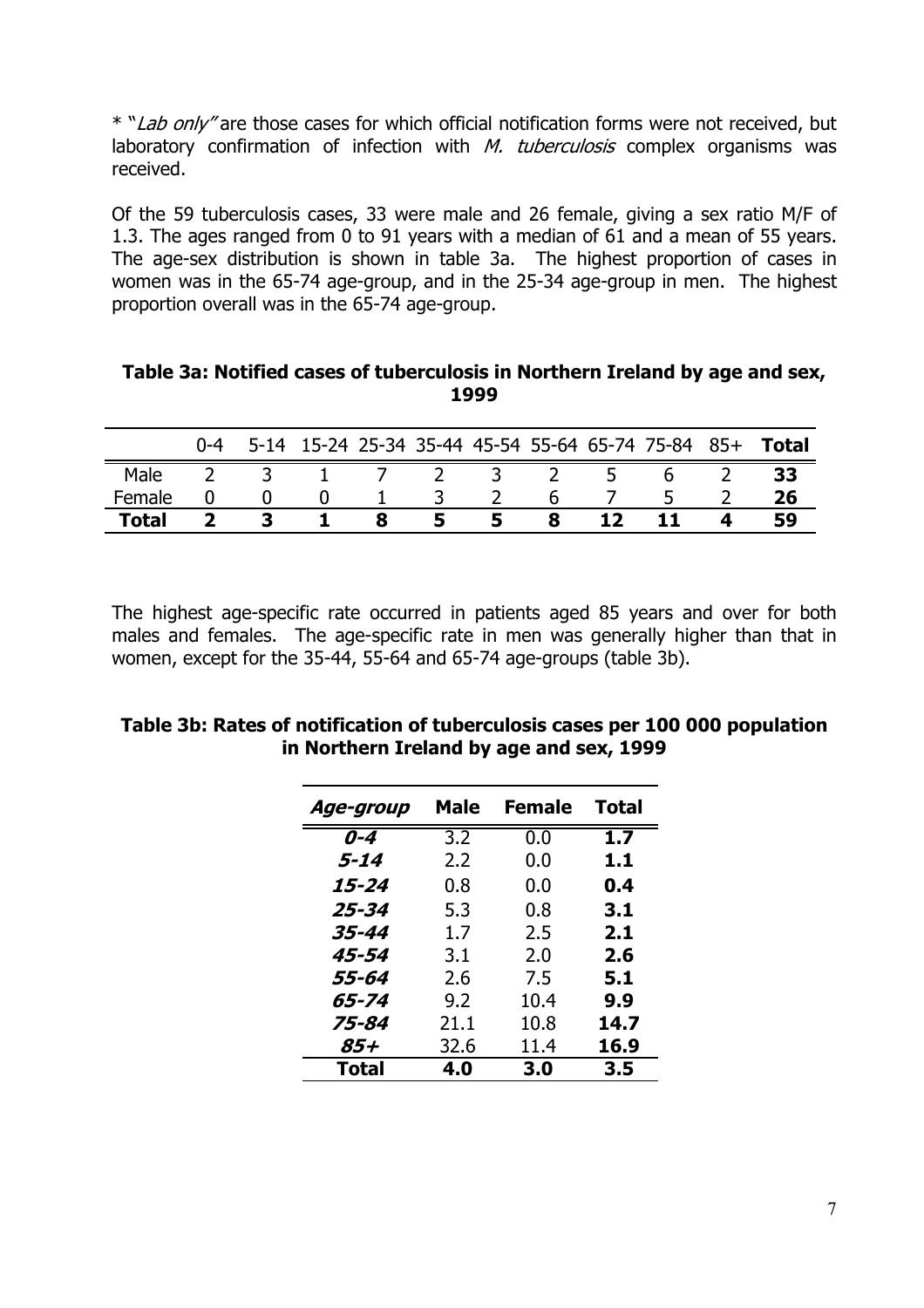\* "Lab only" are those cases for which official notification forms were not received, but laboratory confirmation of infection with  $M.$  tuberculosis complex organisms was received.

Of the 59 tuberculosis cases, 33 were male and 26 female, giving a sex ratio M/F of 1.3. The ages ranged from 0 to 91 years with a median of 61 and a mean of 55 years. The age-sex distribution is shown in table 3a. The highest proportion of cases in women was in the 65-74 age-group, and in the 25-34 age-group in men. The highest proportion overall was in the 65-74 age-group.

| Table 3a: Notified cases of tuberculosis in Northern Ireland by age and sex, |
|------------------------------------------------------------------------------|
| 1999                                                                         |

|              | $0 - 4$ |  |  |  |                | 5-14 15-24 25-34 35-44 45-54 55-64 65-74 75-84 85+ | <b>Total</b> |
|--------------|---------|--|--|--|----------------|----------------------------------------------------|--------------|
| Male         |         |  |  |  | 5 <sup>5</sup> | b                                                  | 33           |
| Female       |         |  |  |  |                |                                                    |              |
| <b>Total</b> |         |  |  |  |                |                                                    |              |

The highest age-specific rate occurred in patients aged 85 years and over for both males and females. The age-specific rate in men was generally higher than that in women, except for the 35-44, 55-64 and 65-74 age-groups (table 3b).

| Age-group | <b>Male</b>      | <b>Female</b> | <b>Total</b> |
|-----------|------------------|---------------|--------------|
| $0 - 4$   | $\overline{3.2}$ | 0.0           | 1.7          |
| $5 - 14$  | 2.2              | 0.0           | 1.1          |
| 15-24     | 0.8              | 0.0           | 0.4          |
| 25-34     | 5.3              | 0.8           | 3.1          |
| 35-44     | 1.7              | 2.5           | 2.1          |
| 45-54     | 3.1              | 2.0           | 2.6          |
| 55-64     | 2.6              | 7.5           | 5.1          |
| 65-74     | 9.2              | 10.4          | 9.9          |
| 75-84     | 21.1             | 10.8          | 14.7         |
| 85+       | 32.6             | 11.4          | 16.9         |
| Total     | 4.0              | 3.0           | 3.5          |

**Table 3b: Rates of notification of tuberculosis cases per 100 000 population in Northern Ireland by age and sex, 1999**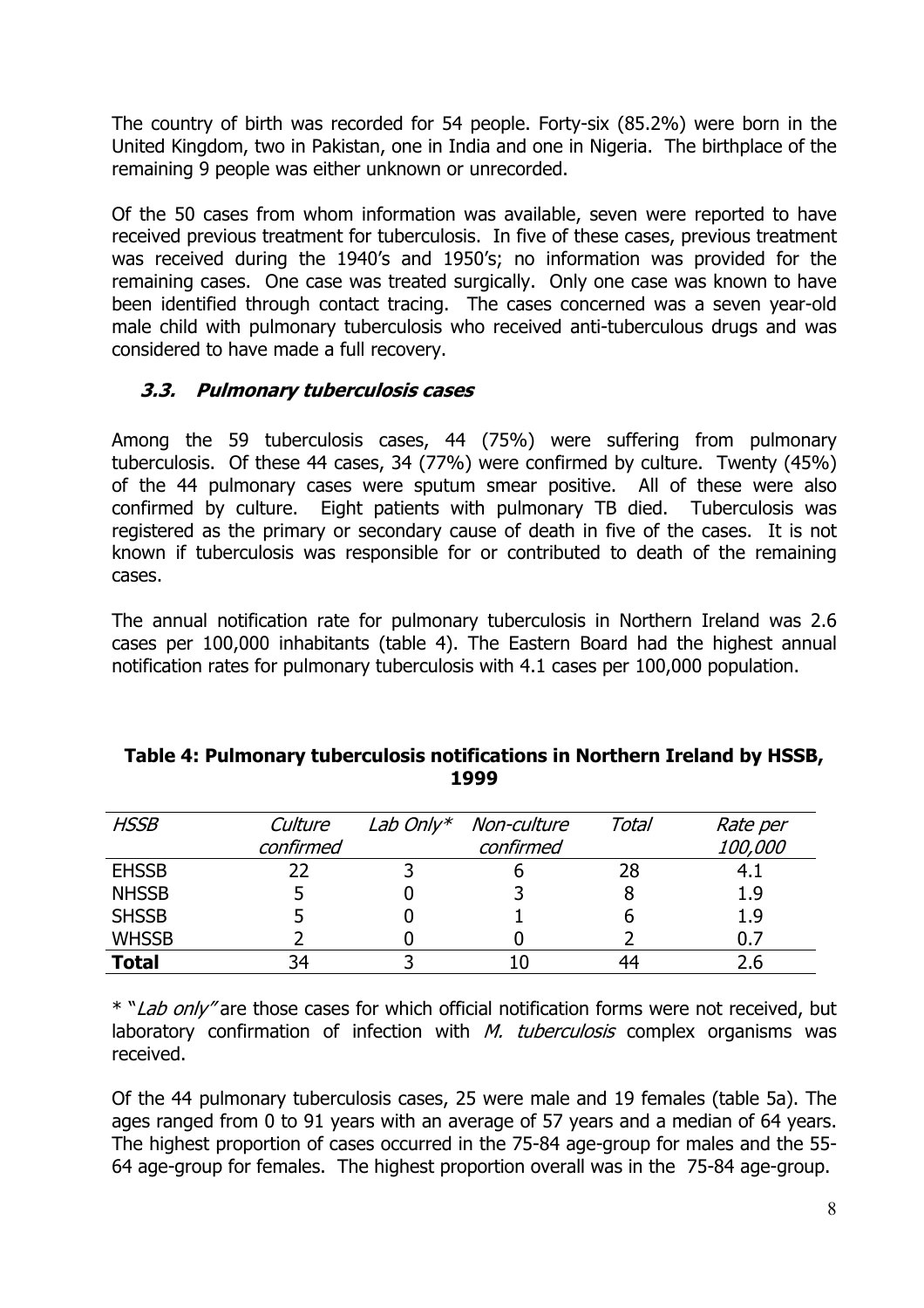The country of birth was recorded for 54 people. Forty-six (85.2%) were born in the United Kingdom, two in Pakistan, one in India and one in Nigeria. The birthplace of the remaining 9 people was either unknown or unrecorded.

Of the 50 cases from whom information was available, seven were reported to have received previous treatment for tuberculosis. In five of these cases, previous treatment was received during the 1940's and 1950's; no information was provided for the remaining cases. One case was treated surgically. Only one case was known to have been identified through contact tracing. The cases concerned was a seven year-old male child with pulmonary tuberculosis who received anti-tuberculous drugs and was considered to have made a full recovery.

### **3.3. Pulmonary tuberculosis cases**

Among the 59 tuberculosis cases, 44 (75%) were suffering from pulmonary tuberculosis. Of these 44 cases, 34 (77%) were confirmed by culture. Twenty (45%) of the 44 pulmonary cases were sputum smear positive. All of these were also confirmed by culture. Eight patients with pulmonary TB died. Tuberculosis was registered as the primary or secondary cause of death in five of the cases. It is not known if tuberculosis was responsible for or contributed to death of the remaining cases.

The annual notification rate for pulmonary tuberculosis in Northern Ireland was 2.6 cases per 100,000 inhabitants (table 4). The Eastern Board had the highest annual notification rates for pulmonary tuberculosis with 4.1 cases per 100,000 population.

| <b>HSSB</b>  | Culture<br>confirmed | Lab Only* Non-culture<br>confirmed | Total | Rate per<br>100,000 |
|--------------|----------------------|------------------------------------|-------|---------------------|
| <b>EHSSB</b> | 22                   |                                    | 28    | 4.1                 |
| <b>NHSSB</b> |                      |                                    |       | 1.9                 |
| <b>SHSSB</b> |                      |                                    |       | 1.9                 |
| <b>WHSSB</b> |                      |                                    |       | 0.7                 |
| <b>Total</b> | 34                   |                                    | 44    |                     |

#### **Table 4: Pulmonary tuberculosis notifications in Northern Ireland by HSSB, 1999**

\* "Lab only" are those cases for which official notification forms were not received, but laboratory confirmation of infection with  $M$ . tuberculosis complex organisms was received.

Of the 44 pulmonary tuberculosis cases, 25 were male and 19 females (table 5a). The ages ranged from 0 to 91 years with an average of 57 years and a median of 64 years. The highest proportion of cases occurred in the 75-84 age-group for males and the 55- 64 age-group for females. The highest proportion overall was in the 75-84 age-group.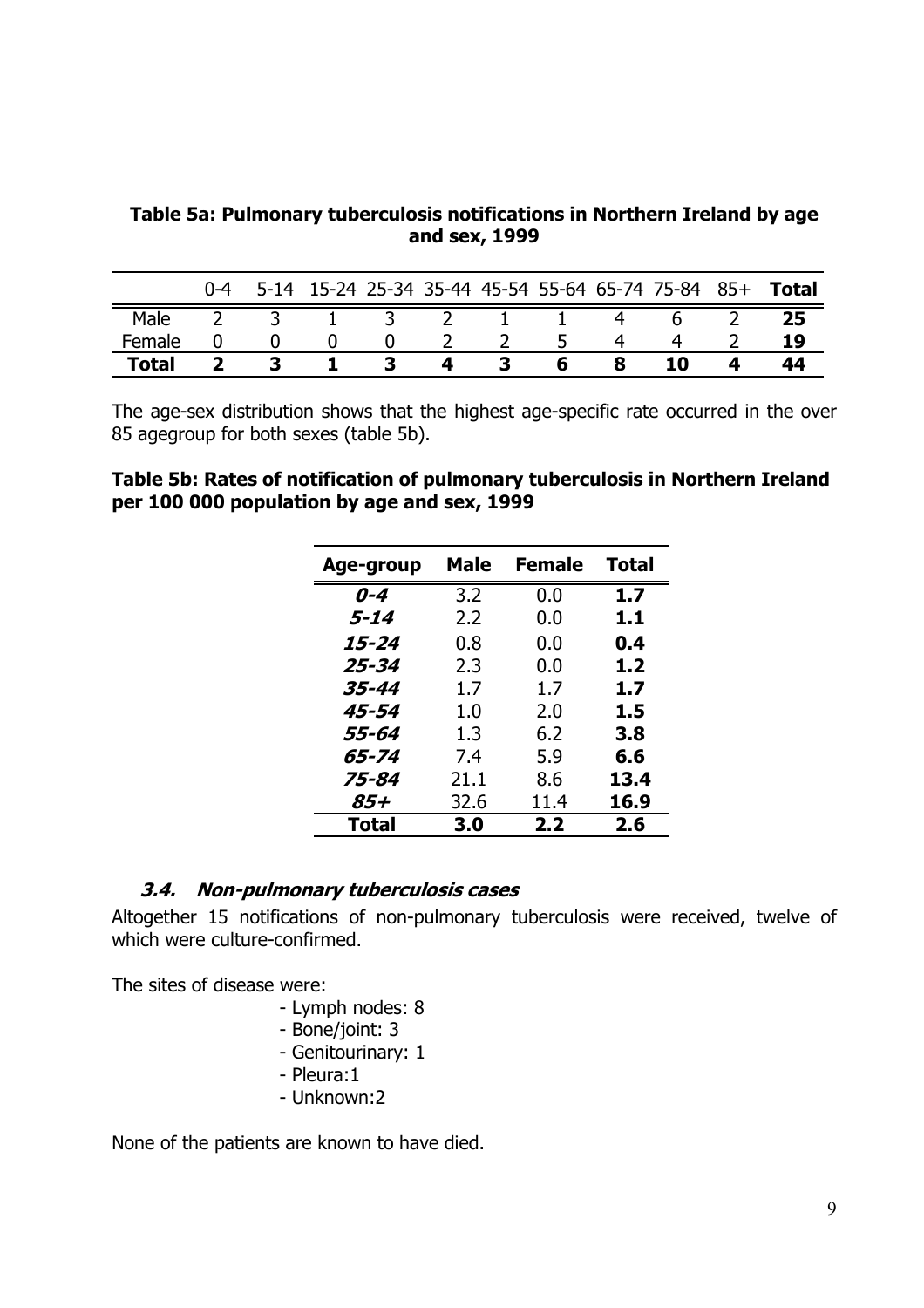**Table 5a: Pulmonary tuberculosis notifications in Northern Ireland by age and sex, 1999** 

|              | $0 - 4$ |  |  |  | 5-14 15-24 25-34 35-44 45-54 55-64 65-74 75-84 85+ | Total |
|--------------|---------|--|--|--|----------------------------------------------------|-------|
| Male         |         |  |  |  |                                                    |       |
| Female       |         |  |  |  |                                                    |       |
| <b>Total</b> |         |  |  |  | 10                                                 |       |

The age-sex distribution shows that the highest age-specific rate occurred in the over 85 agegroup for both sexes (table 5b).

#### **Table 5b: Rates of notification of pulmonary tuberculosis in Northern Ireland per 100 000 population by age and sex, 1999**

| Age-group | Male | <b>Female</b> | <b>Total</b> |
|-----------|------|---------------|--------------|
| $0 - 4$   | 3.2  | 0.0           | 1.7          |
| $5 - 14$  | 2.2  | 0.0           | 1.1          |
| 15-24     | 0.8  | 0.0           | 0.4          |
| 25-34     | 2.3  | 0.0           | 1.2          |
| 35-44     | 1.7  | 1.7           | 1.7          |
| 45-54     | 1.0  | 2.0           | 1.5          |
| 55-64     | 1.3  | 6.2           | 3.8          |
| 65-74     | 7.4  | 5.9           | 6.6          |
| 75-84     | 21.1 | 8.6           | 13.4         |
| 85+       | 32.6 | 11.4          | 16.9         |
| Total     | 3.0  | 2.2           | 2.6          |

#### **3.4. Non-pulmonary tuberculosis cases**

Altogether 15 notifications of non-pulmonary tuberculosis were received, twelve of which were culture-confirmed.

The sites of disease were:

- Lymph nodes: 8
- Bone/joint: 3
- Genitourinary: 1
- Pleura:1
- Unknown:2

None of the patients are known to have died.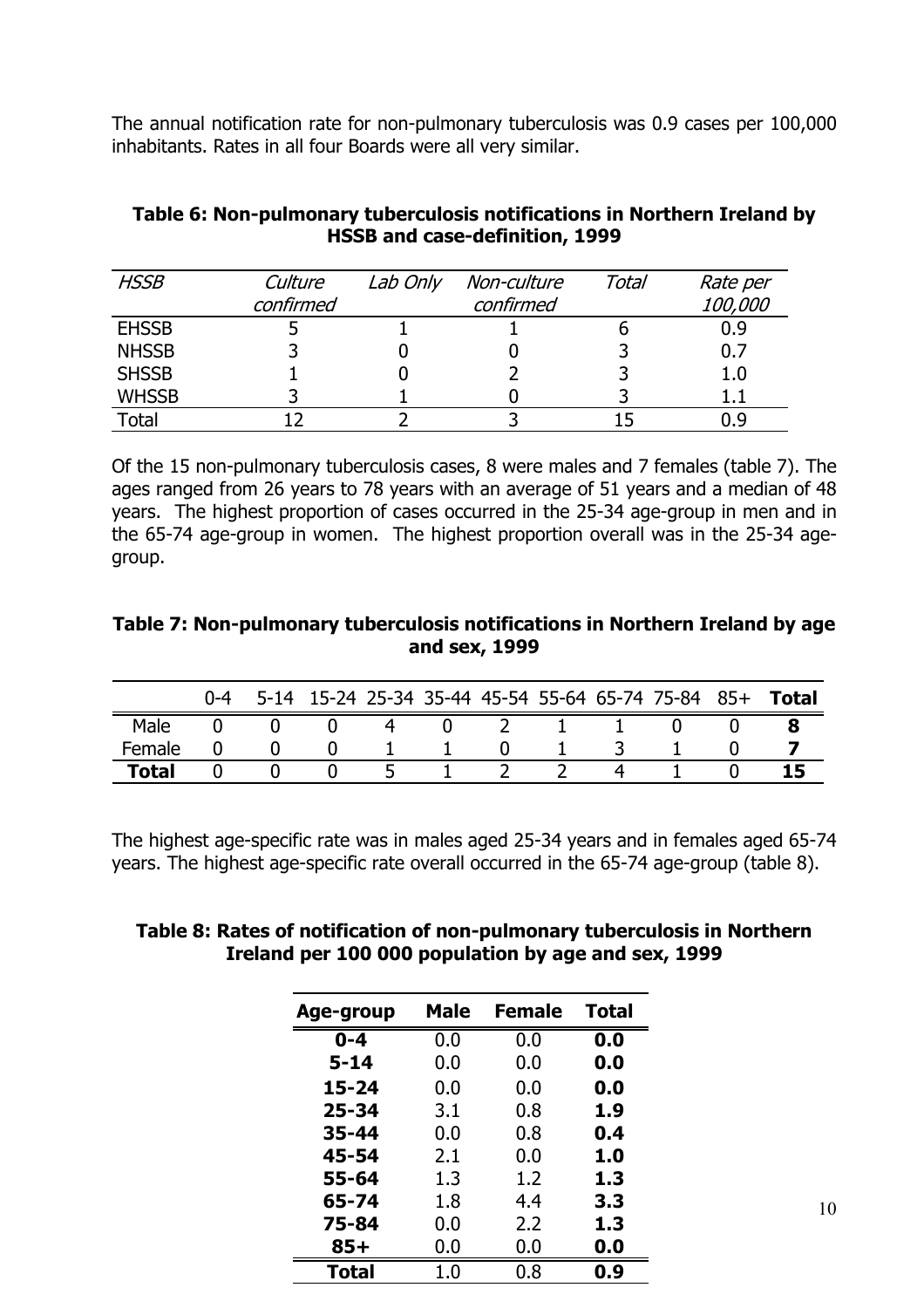The annual notification rate for non-pulmonary tuberculosis was 0.9 cases per 100,000 inhabitants. Rates in all four Boards were all very similar.

#### **Table 6: Non-pulmonary tuberculosis notifications in Northern Ireland by HSSB and case-definition, 1999**

| <b>HSSB</b>  | Culture   | Lab Only | Non-culture | Total | Rate per   |  |  |
|--------------|-----------|----------|-------------|-------|------------|--|--|
|              | confirmed |          | confirmed   |       | 100,000    |  |  |
| <b>EHSSB</b> |           |          |             |       | 0.9        |  |  |
| <b>NHSSB</b> |           |          |             |       | 0.7        |  |  |
| <b>SHSSB</b> |           |          |             |       | 1.0        |  |  |
| <b>WHSSB</b> |           |          |             |       |            |  |  |
| Total        |           |          |             |       | <u>n g</u> |  |  |

Of the 15 non-pulmonary tuberculosis cases, 8 were males and 7 females (table 7). The ages ranged from 26 years to 78 years with an average of 51 years and a median of 48 years. The highest proportion of cases occurred in the 25-34 age-group in men and in the 65-74 age-group in women. The highest proportion overall was in the 25-34 agegroup.

#### **Table 7: Non-pulmonary tuberculosis notifications in Northern Ireland by age and sex, 1999**

|        | $0 - 4$ |  |  |  | 5-14 15-24 25-34 35-44 45-54 55-64 65-74 75-84 85+ | <b>Total</b> |
|--------|---------|--|--|--|----------------------------------------------------|--------------|
| Male   |         |  |  |  |                                                    |              |
| Female |         |  |  |  |                                                    |              |
| Total  |         |  |  |  |                                                    |              |

The highest age-specific rate was in males aged 25-34 years and in females aged 65-74 years. The highest age-specific rate overall occurred in the 65-74 age-group (table 8).

#### **Table 8: Rates of notification of non-pulmonary tuberculosis in Northern Ireland per 100 000 population by age and sex, 1999**

| Age-group | <b>Male</b> | <b>Female</b> | <b>Total</b> |
|-----------|-------------|---------------|--------------|
| $0 - 4$   | 0.0         | 0.0           | 0.0          |
| $5 - 14$  | 0.0         | 0.0           | 0.0          |
| $15 - 24$ | 0.0         | 0.0           | 0.0          |
| $25 - 34$ | 3.1         | 0.8           | 1.9          |
| 35-44     | 0.0         | 0.8           | 0.4          |
| 45-54     | 2.1         | 0.0           | 1.0          |
| 55-64     | 1.3         | 1.2           | 1.3          |
| 65-74     | 1.8         | 4.4           | 3.3          |
| 75-84     | 0.0         | 2.2           | 1.3          |
| $85+$     | 0.0         | 0.0           | 0.0          |
| Total     | 1.0         | 0.8           | 0.9          |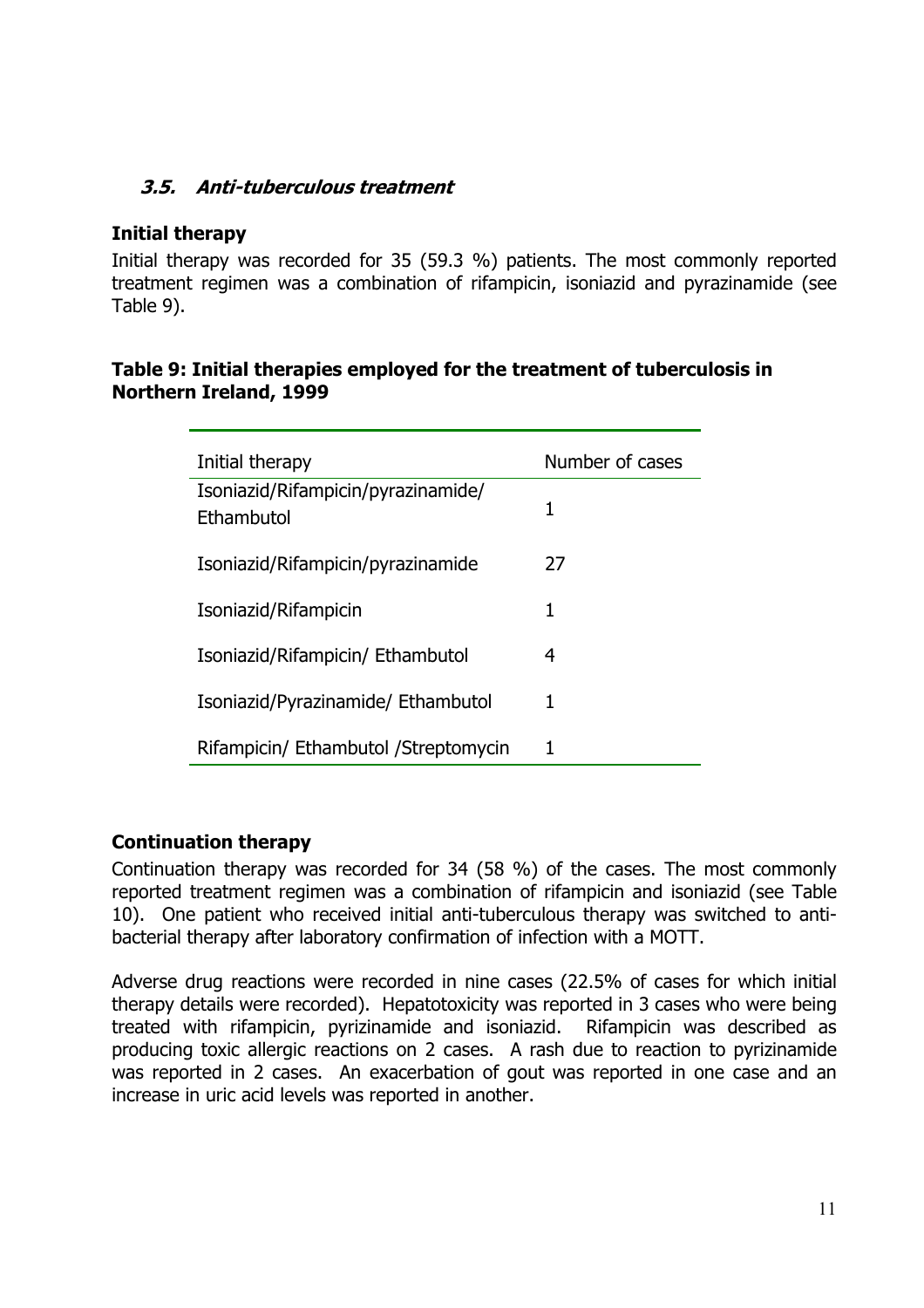### **3.5. Anti-tuberculous treatment**

#### **Initial therapy**

Initial therapy was recorded for 35 (59.3 %) patients. The most commonly reported treatment regimen was a combination of rifampicin, isoniazid and pyrazinamide (see Table 9).

#### **Table 9: Initial therapies employed for the treatment of tuberculosis in Northern Ireland, 1999**

| Initial therapy                                  | Number of cases |
|--------------------------------------------------|-----------------|
| Isoniazid/Rifampicin/pyrazinamide/<br>Ethambutol | 1               |
| Isoniazid/Rifampicin/pyrazinamide                | 27              |
| Isoniazid/Rifampicin                             | 1               |
| Isoniazid/Rifampicin/ Ethambutol                 | 4               |
| Isoniazid/Pyrazinamide/ Ethambutol               | 1               |
| Rifampicin/ Ethambutol / Streptomycin            | 1               |

#### **Continuation therapy**

Continuation therapy was recorded for 34 (58 %) of the cases. The most commonly reported treatment regimen was a combination of rifampicin and isoniazid (see Table 10). One patient who received initial anti-tuberculous therapy was switched to antibacterial therapy after laboratory confirmation of infection with a MOTT.

Adverse drug reactions were recorded in nine cases (22.5% of cases for which initial therapy details were recorded). Hepatotoxicity was reported in 3 cases who were being treated with rifampicin, pyrizinamide and isoniazid. Rifampicin was described as producing toxic allergic reactions on 2 cases. A rash due to reaction to pyrizinamide was reported in 2 cases. An exacerbation of gout was reported in one case and an increase in uric acid levels was reported in another.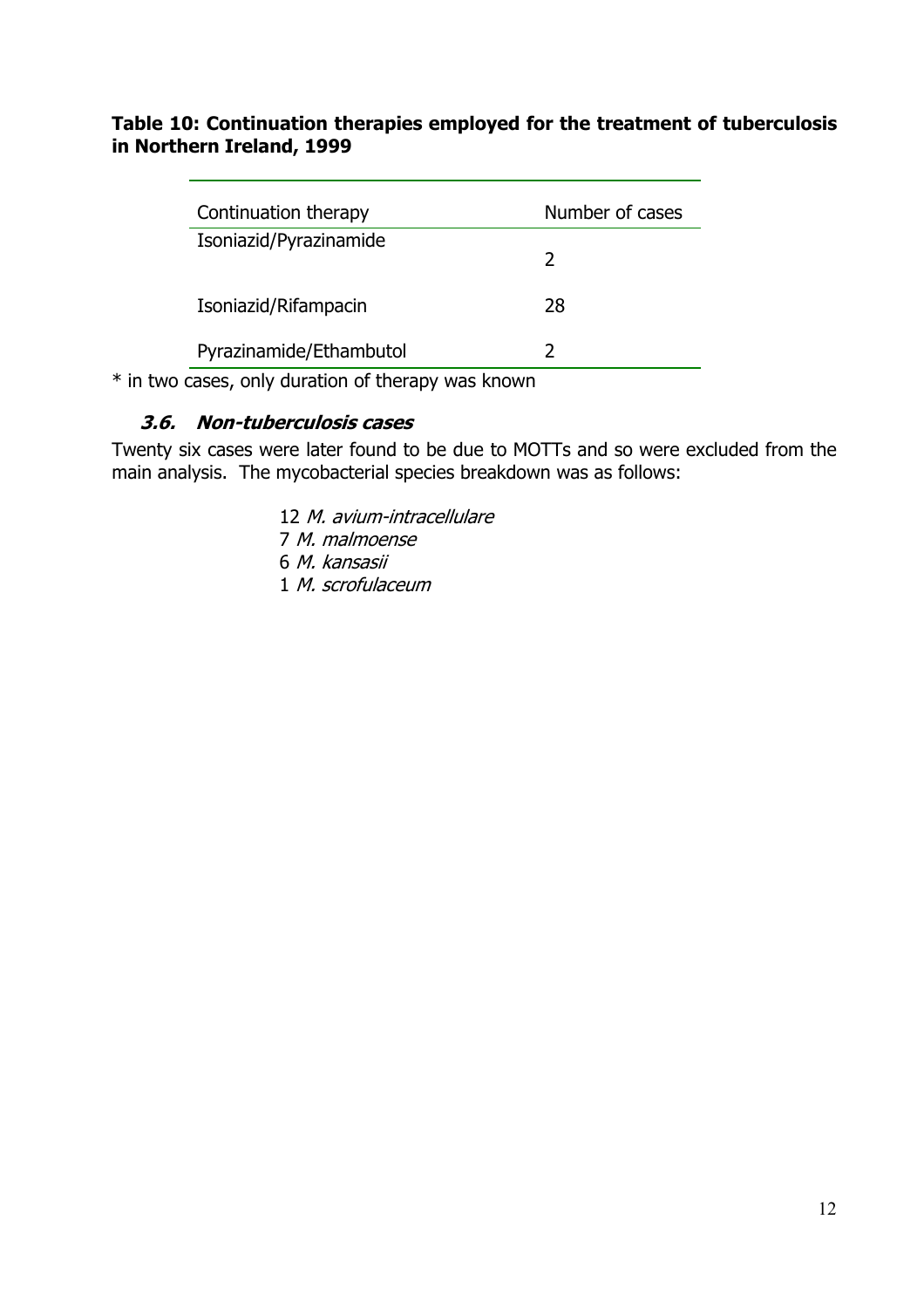#### **Table 10: Continuation therapies employed for the treatment of tuberculosis in Northern Ireland, 1999**

| Continuation therapy    | Number of cases |
|-------------------------|-----------------|
| Isoniazid/Pyrazinamide  | $\mathcal{L}$   |
| Isoniazid/Rifampacin    | 28              |
| Pyrazinamide/Ethambutol |                 |

\* in two cases, only duration of therapy was known

#### **3.6. Non-tuberculosis cases**

Twenty six cases were later found to be due to MOTTs and so were excluded from the main analysis. The mycobacterial species breakdown was as follows:

> M. avium-intracellulare M. malmoense M. kansasii M. scrofulaceum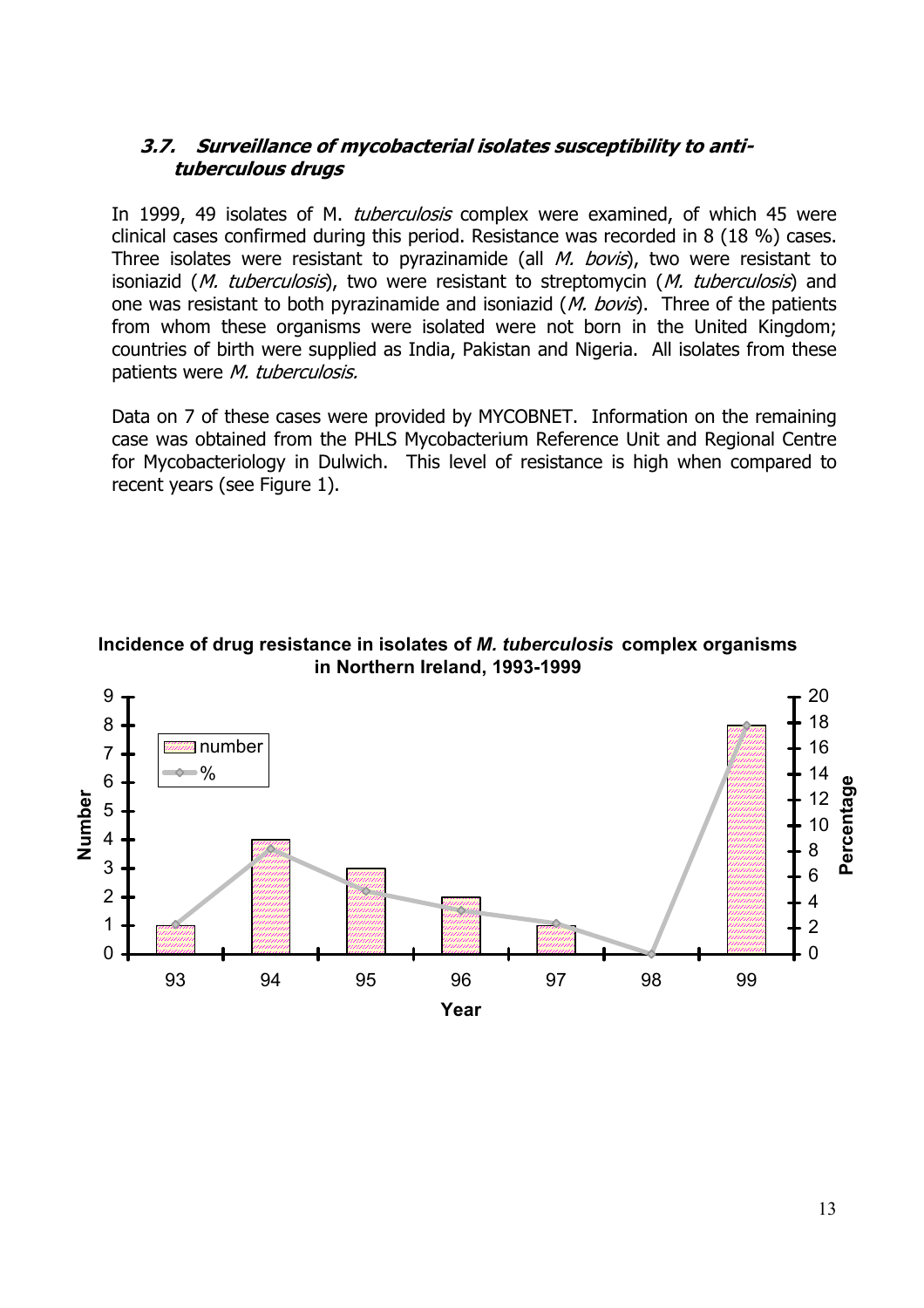#### **3.7. Surveillance of mycobacterial isolates susceptibility to antituberculous drugs**

In 1999, 49 isolates of M. *tuberculosis* complex were examined, of which 45 were clinical cases confirmed during this period. Resistance was recorded in 8 (18 %) cases. Three isolates were resistant to pyrazinamide (all  $M.$  bovis), two were resistant to isoniazid (M. tuberculosis), two were resistant to streptomycin (M. tuberculosis) and one was resistant to both pyrazinamide and isoniazid (*M. bovis*). Three of the patients from whom these organisms were isolated were not born in the United Kingdom; countries of birth were supplied as India, Pakistan and Nigeria. All isolates from these patients were M. tuberculosis.

Data on 7 of these cases were provided by MYCOBNET. Information on the remaining case was obtained from the PHLS Mycobacterium Reference Unit and Regional Centre for Mycobacteriology in Dulwich. This level of resistance is high when compared to recent years (see Figure 1).

#### **Incidence of drug resistance in isolates of** *M. tuberculosis* **complex organisms in Northern Ireland, 1993-1999**

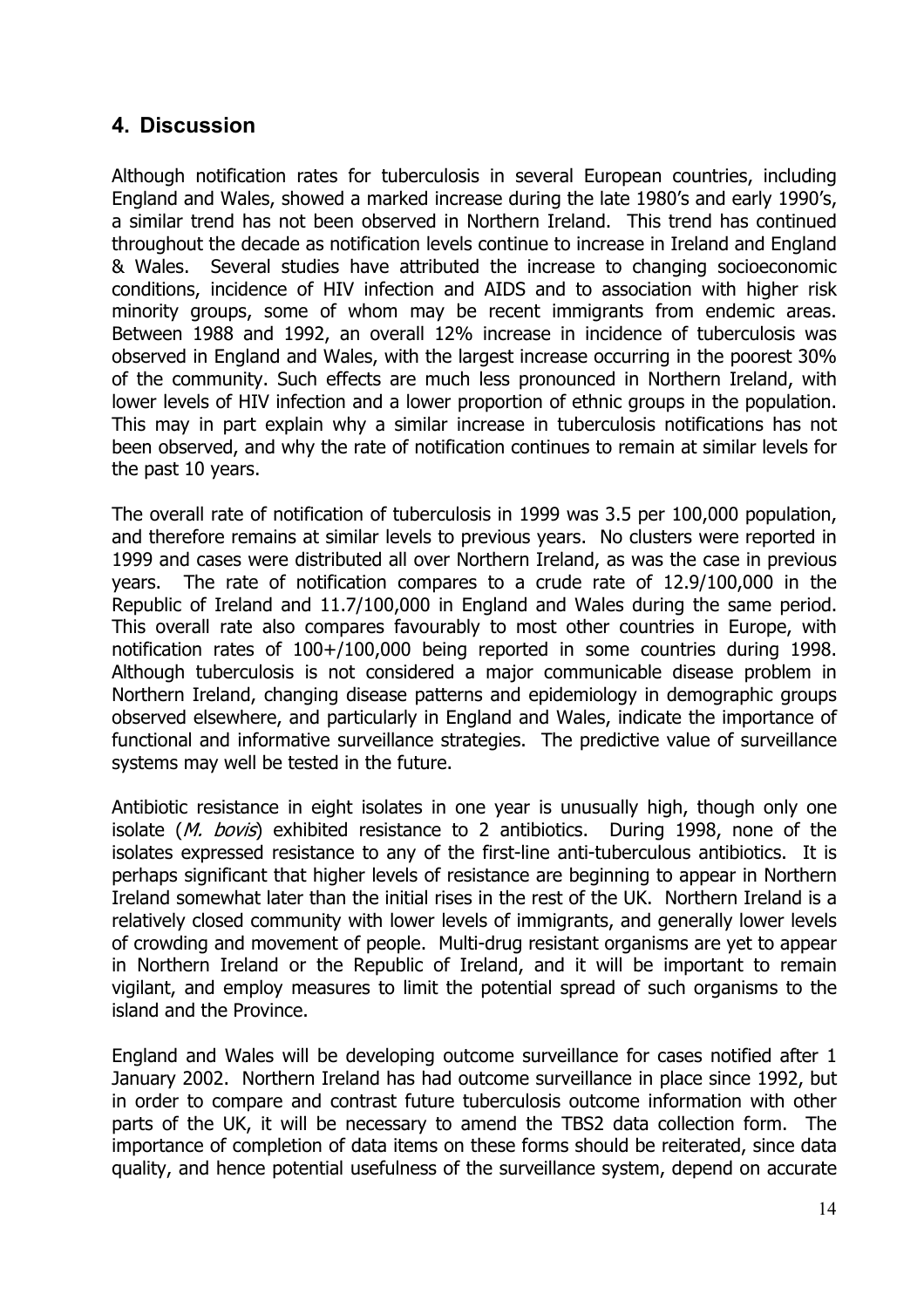## **4. Discussion**

Although notification rates for tuberculosis in several European countries, including England and Wales, showed a marked increase during the late 1980's and early 1990's, a similar trend has not been observed in Northern Ireland. This trend has continued throughout the decade as notification levels continue to increase in Ireland and England & Wales. Several studies have attributed the increase to changing socioeconomic conditions, incidence of HIV infection and AIDS and to association with higher risk minority groups, some of whom may be recent immigrants from endemic areas. Between 1988 and 1992, an overall 12% increase in incidence of tuberculosis was observed in England and Wales, with the largest increase occurring in the poorest 30% of the community. Such effects are much less pronounced in Northern Ireland, with lower levels of HIV infection and a lower proportion of ethnic groups in the population. This may in part explain why a similar increase in tuberculosis notifications has not been observed, and why the rate of notification continues to remain at similar levels for the past 10 years.

The overall rate of notification of tuberculosis in 1999 was 3.5 per 100,000 population, and therefore remains at similar levels to previous years. No clusters were reported in 1999 and cases were distributed all over Northern Ireland, as was the case in previous years. The rate of notification compares to a crude rate of 12.9/100,000 in the Republic of Ireland and 11.7/100,000 in England and Wales during the same period. This overall rate also compares favourably to most other countries in Europe, with notification rates of 100+/100,000 being reported in some countries during 1998. Although tuberculosis is not considered a major communicable disease problem in Northern Ireland, changing disease patterns and epidemiology in demographic groups observed elsewhere, and particularly in England and Wales, indicate the importance of functional and informative surveillance strategies. The predictive value of surveillance systems may well be tested in the future.

Antibiotic resistance in eight isolates in one year is unusually high, though only one isolate (*M. bovis*) exhibited resistance to 2 antibiotics. During 1998, none of the isolates expressed resistance to any of the first-line anti-tuberculous antibiotics. It is perhaps significant that higher levels of resistance are beginning to appear in Northern Ireland somewhat later than the initial rises in the rest of the UK. Northern Ireland is a relatively closed community with lower levels of immigrants, and generally lower levels of crowding and movement of people. Multi-drug resistant organisms are yet to appear in Northern Ireland or the Republic of Ireland, and it will be important to remain vigilant, and employ measures to limit the potential spread of such organisms to the island and the Province.

England and Wales will be developing outcome surveillance for cases notified after 1 January 2002. Northern Ireland has had outcome surveillance in place since 1992, but in order to compare and contrast future tuberculosis outcome information with other parts of the UK, it will be necessary to amend the TBS2 data collection form. The importance of completion of data items on these forms should be reiterated, since data quality, and hence potential usefulness of the surveillance system, depend on accurate